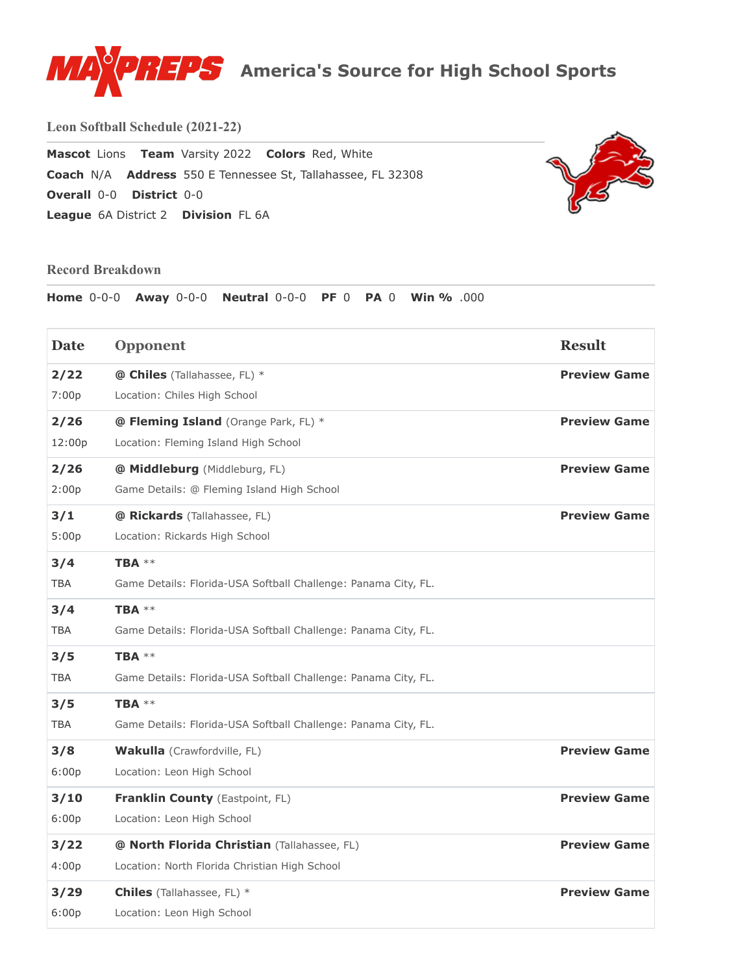

**Leon Softball Schedule (2021-22)**

**Mascot** Lions **Team** Varsity 2022 **Colors** Red, White **Coach** N/A **Address** 550 E Tennessee St, Tallahassee, FL 32308 **Overall** [0-0](https://www.maxpreps.com/league/SexU_LGshUarUNq7cM8hQg/standings-6a-district-2.htm) **District** [0-0](https://www.maxpreps.com/league/SexU_LGshUarUNq7cM8hQg/standings-6a-district-2.htm) **League** 6A District 2 **Division** FL 6A



## **Record Breakdown**

**Home** 0-0-0 **Away** 0-0-0 **Neutral** 0-0-0 **PF** 0 **PA** 0 **Win %** .000

| <b>Date</b> | Opponent                                                       | <b>Result</b>       |
|-------------|----------------------------------------------------------------|---------------------|
| 2/22        | @ Chiles (Tallahassee, FL) *                                   | <b>Preview Game</b> |
| 7:00p       | Location: Chiles High School                                   |                     |
| 2/26        | @ Fleming Island (Orange Park, FL) *                           | <b>Preview Game</b> |
| 12:00p      | Location: Fleming Island High School                           |                     |
| 2/26        | @ Middleburg (Middleburg, FL)                                  | <b>Preview Game</b> |
| 2:00p       | Game Details: @ Fleming Island High School                     |                     |
| 3/1         | @ Rickards (Tallahassee, FL)                                   | <b>Preview Game</b> |
| 5:00p       | Location: Rickards High School                                 |                     |
| 3/4         | TBA $**$                                                       |                     |
| TBA         | Game Details: Florida-USA Softball Challenge: Panama City, FL. |                     |
| 3/4         | TBA $**$                                                       |                     |
| TBA         | Game Details: Florida-USA Softball Challenge: Panama City, FL. |                     |
| 3/5         | TBA $**$                                                       |                     |
| <b>TBA</b>  | Game Details: Florida-USA Softball Challenge: Panama City, FL. |                     |
| 3/5         | TBA $**$                                                       |                     |
| TBA         | Game Details: Florida-USA Softball Challenge: Panama City, FL. |                     |
| 3/8         | <b>Wakulla</b> (Crawfordville, FL)                             | <b>Preview Game</b> |
| 6:00p       | Location: Leon High School                                     |                     |
| 3/10        | Franklin County (Eastpoint, FL)                                | <b>Preview Game</b> |
| 6:00p       | Location: Leon High School                                     |                     |
| 3/22        | @ North Florida Christian (Tallahassee, FL)                    | <b>Preview Game</b> |
| 4:00p       | Location: North Florida Christian High School                  |                     |
| 3/29        | <b>Chiles</b> (Tallahassee, FL) *                              | <b>Preview Game</b> |
| 6:00p       | Location: Leon High School                                     |                     |